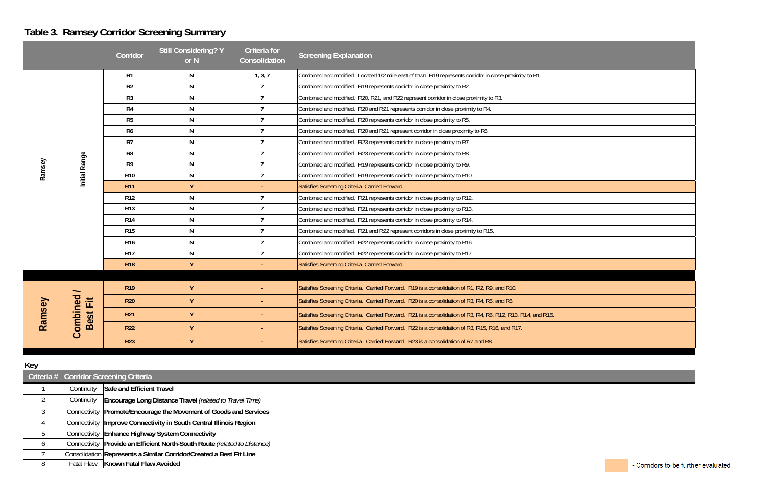# **Table 3. Ramsey Corridor Screening Summary**

|        |                          | Corridor       | <b>Still Considering? Y</b><br>or N | <b>Criteria</b> for<br>Consolidation | <b>Screening Explanation</b>                                                                                 |
|--------|--------------------------|----------------|-------------------------------------|--------------------------------------|--------------------------------------------------------------------------------------------------------------|
|        |                          | R1             | N                                   | 1, 3, 7                              | Combined and modified. Located 1/2 mile east of town. R19 represents corridor in close proximity to R1.      |
|        |                          | R <sub>2</sub> | N                                   | $\overline{1}$                       | Combined and modified. R19 represents corridor in close proximity to R2.                                     |
|        |                          | R <sub>3</sub> | N                                   | $\overline{7}$                       | Combined and modified. R20, R21, and R22 represent corridor in close proximity to R3.                        |
|        |                          | R4             | N                                   | $\overline{7}$                       | Combined and modified. R20 and R21 represents corridor in close proximity to R4.                             |
|        |                          | R <sub>5</sub> | N                                   | $\overline{7}$                       | Combined and modified. R20 represents corridor in close proximity to R5.                                     |
|        |                          | R <sub>6</sub> | N                                   | $\overline{7}$                       | Combined and modified. R20 and R21 represent corridor in close proximity to R6.                              |
|        |                          | R7             | N                                   | $\overline{7}$                       | Combined and modified. R23 represents corridor in close proximity to R7.                                     |
| Ramsey |                          | R <sub>8</sub> | N                                   | $\overline{7}$                       | Combined and modified. R23 represents corridor in close proximity to R8.                                     |
|        |                          | R <sub>9</sub> | N                                   | $\overline{7}$                       | Combined and modified. R19 represents corridor in close proximity to R9.                                     |
|        | Initial Range            | <b>R10</b>     | N                                   | $\overline{7}$                       | Combined and modified. R19 represents corridor in close proximity to R10.                                    |
|        |                          | <b>R11</b>     | Y                                   |                                      | Satisfies Screening Criteria. Carried Forward.                                                               |
|        |                          | <b>R12</b>     | N                                   | $\overline{7}$                       | Combined and modified. R21 represents corridor in close proximity to R12.                                    |
|        |                          | <b>R13</b>     | N                                   | $\overline{7}$                       | Combined and modified. R21 represents corridor in close proximity to R13.                                    |
|        |                          | <b>R14</b>     | N                                   | $\overline{7}$                       | Combined and modified. R21 represents corridor in close proximity to R14.                                    |
|        |                          | <b>R15</b>     | N                                   | $\overline{7}$                       | Combined and modified. R21 and R22 represent corridors in close proximity to R15.                            |
|        |                          | <b>R16</b>     | N                                   | $\overline{7}$                       | Combined and modified. R22 represents corridor in close proximity to R16.                                    |
|        |                          | <b>R17</b>     | N                                   | $\overline{7}$                       | Combined and modified. R22 represents corridor in close proximity to R17.                                    |
|        |                          | <b>R18</b>     | Y                                   |                                      | Satisfies Screening Criteria. Carried Forward.                                                               |
|        |                          |                |                                     |                                      |                                                                                                              |
|        | $\overline{\phantom{0}}$ | <b>R19</b>     | Y                                   |                                      | Satisfies Screening Criteria. Carried Forward. R19 is a consolidation of R1, R2, R9, and R10.                |
|        |                          | <b>R20</b>     | Y                                   |                                      | Satisfies Screening Criteria. Carried Forward. R20 is a consolidation of R3, R4, R5, and R6.                 |
| Ramsey | Best Fit                 | <b>R21</b>     | Y                                   |                                      | Satisfies Screening Criteria. Carried Forward. R21 is a consolidation of R3, R4, R6, R12, R13, R14, and R15. |
|        | Combined                 | <b>R22</b>     | Y                                   |                                      | Satisfies Screening Criteria. Carried Forward. R22 is a consolidation of R3, R15, R16, and R17.              |
|        |                          | <b>R23</b>     | Y                                   |                                      | Satisfies Screening Criteria. Carried Forward. R23 is a consolidation of R7 and R8.                          |

#### **Key**

|   |              | Criteria # Corridor Screening Criteria                                    |  |  |  |
|---|--------------|---------------------------------------------------------------------------|--|--|--|
|   | Continuity   | <b>Safe and Efficient Travel</b>                                          |  |  |  |
| 2 | Continuity   | Encourage Long Distance Travel (related to Travel Time)                   |  |  |  |
| 3 | Connectivity | Promote/Encourage the Movement of Goods and Services                      |  |  |  |
| 4 |              | Connectivity   Improve Connectivity in South Central Illinois Region      |  |  |  |
| 5 |              | Connectivity Enhance Highway System Connectivity                          |  |  |  |
| 6 |              | Connectivity Provide an Efficient North-South Route (related to Distance) |  |  |  |
|   |              | Consolidation Represents a Similar Corridor/Created a Best Fit Line       |  |  |  |
| 8 |              | Fatal Flaw   Known Fatal Flaw Avoided                                     |  |  |  |
|   |              |                                                                           |  |  |  |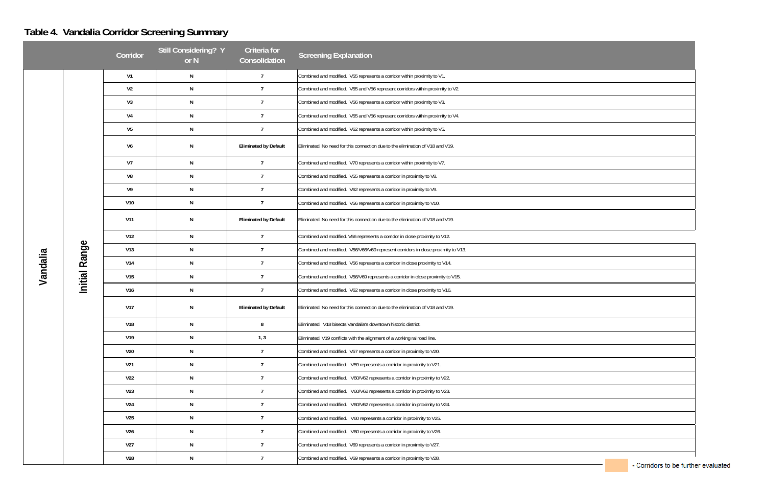# **Table 4. Vandalia Corridor Screening Summary**

|          |               | Corridor        | Still Considering? Y<br>or N | Criteria for<br>Consolidation | <b>Screening Explanation</b>                                                      |
|----------|---------------|-----------------|------------------------------|-------------------------------|-----------------------------------------------------------------------------------|
|          |               | V1              | N                            | $\overline{7}$                | Combined and modified. V55 represents a corridor within proximity to V1.          |
|          |               | V <sub>2</sub>  | N                            | $\overline{7}$                | Combined and modified. V55 and V56 represent corridors within proximity to V2.    |
|          |               | V <sub>3</sub>  | N                            | $\overline{7}$                | Combined and modified. V56 represents a corridor within proximity to V3.          |
|          |               | V <sub>4</sub>  | N                            | $\overline{7}$                | Combined and modified. V55 and V56 represent corridors within proximity to V4.    |
|          |               | V <sub>5</sub>  | N                            | $\overline{7}$                | Combined and modified. V62 represents a corridor within proximity to V5.          |
|          |               | V <sub>6</sub>  | N                            | <b>Eliminated by Default</b>  | Eliminated. No need for this connection due to the elimination of V18 and V19.    |
|          |               | V <sub>7</sub>  | N                            | $\overline{7}$                | Combined and modified. V70 represents a corridor within proximity to V7.          |
|          |               | V8              | N                            | $\overline{7}$                | Combined and modified. V55 represents a corridor in proximity to V8.              |
|          |               | V <sub>9</sub>  | N                            | $\overline{7}$                | Combined and modified. V62 represents a corridor in proximity to V9.              |
|          |               | V10             | N                            | $\overline{7}$                | Combined and modified. V56 represents a corridor in proximity to V10.             |
|          |               | V <sub>11</sub> | N                            | <b>Eliminated by Default</b>  | Eliminated. No need for this connection due to the elimination of V18 and V19.    |
|          | Initial Range | V12             | N                            | $\overline{7}$                | Combined and modified. V56 represents a corridor in close proximity to V12.       |
|          |               | V13             | N                            | $\overline{7}$                | Combined and modified. V56/V66/V69 represent corridors in close proximity to V13. |
|          |               | V14             | N                            | $\overline{7}$                | Combined and modified. V56 represents a corridor in close proximity to V14.       |
| Vandalia |               | V15             | N                            | $\overline{7}$                | Combined and modified. V56/V69 represents a corridor in close proximity to V15.   |
|          |               | V16             | N                            | $\overline{7}$                | Combined and modified. V62 represents a corridor in close proximity to V16.       |
|          |               | <b>V17</b>      | N                            | <b>Eliminated by Default</b>  | Eliminated. No need for this connection due to the elimination of V18 and V19.    |
|          |               | V18             | N                            | 8                             | Eliminated. V18 bisects Vandalia's downtown historic district.                    |
|          |               | V19             | N                            | 1, 3                          | Eliminated. V19 conflicts with the alignment of a working railroad line.          |
|          |               | V20             | N                            | $\overline{7}$                | Combined and modified. V57 represents a corridor in proximity to V20.             |
|          |               | V <sub>21</sub> | N                            | $\overline{7}$                | Combined and modified. V59 represents a corridor in proximity to V21.             |
|          |               | <b>V22</b>      | N                            | $\overline{7}$                | Combined and modified. V60/V62 represents a corridor in proximity to V22.         |
|          |               | V <sub>23</sub> | N                            | $\overline{7}$                | Combined and modified. V60/V62 represents a corridor in proximity to V23.         |
|          |               | V24             | N                            | $\overline{7}$                | Combined and modified. V60/V62 represents a corridor in proximity to V24.         |
|          |               | V <sub>25</sub> | N                            | $\overline{7}$                | Combined and modified. V60 represents a corridor in proximity to V25.             |
|          |               | V <sub>26</sub> | N                            | $\overline{7}$                | Combined and modified. V60 represents a corridor in proximity to V26.             |
|          |               | V <sub>27</sub> | N                            | $\overline{7}$                | Combined and modified. V69 represents a corridor in proximity to V27.             |
|          |               | V28             | N                            | $\overline{7}$                | Combined and modified. V69 represents a corridor in proximity to V28.             |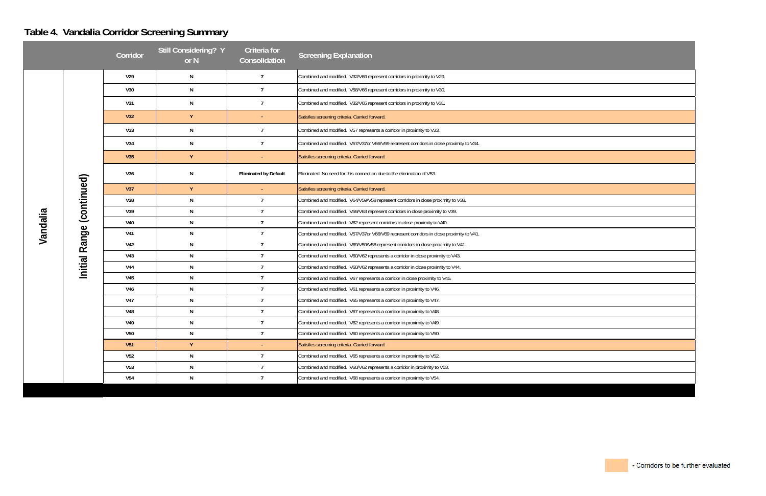# **Table 4. Vandalia Corridor Screening Summary**

|          |                              | Corridor        | <b>Still Considering? Y</b><br>or N | Criteria for<br>Consolidation | <b>Screening Explanation</b>                                                            |
|----------|------------------------------|-----------------|-------------------------------------|-------------------------------|-----------------------------------------------------------------------------------------|
|          |                              | V29             | N                                   | $\overline{7}$                | Combined and modified. V32/V69 represent corridors in proximity to V29.                 |
|          |                              | V30             | ${\sf N}$                           | $\overline{7}$                | Combined and modified. V58/V66 represent corridors in proximity to V30.                 |
|          |                              | V31             | ${\sf N}$                           | $\overline{7}$                | Combined and modified. V32/V65 represent corridors in proximity to V31.                 |
|          |                              | V32             | Y                                   |                               | Satisfies screening criteria. Carried forward.                                          |
|          |                              | V33             | N                                   | $\overline{7}$                | Combined and modified. V57 represents a corridor in proximity to V33.                   |
|          |                              | V34             | N                                   | $\overline{7}$                | Combined and modified. V57/V37or V66/V69 represent corridors in close proximity to V34. |
|          |                              | V35             | Y                                   | $\blacksquare$                | Satisfies screening criteria. Carried forward.                                          |
|          |                              | V36             | N                                   | <b>Eliminated by Default</b>  | Eliminated. No need for this connection due to the elimination of V53.                  |
|          |                              | V37             | Y                                   | $\blacksquare$                | Satisfies screening criteria. Carried forward.                                          |
|          | (continued)<br>Initial Range | V38             | ${\sf N}$                           | $\overline{7}$                | Combined and modified. V64/V59/V58 represent corridors in close proximity to V38.       |
|          |                              | V39             | N                                   | $\overline{7}$                | Combined and modified. V59/V63 represent corridors in close proximity to V39.           |
|          |                              | V40             | ${\sf N}$                           | $\overline{7}$                | Combined and modified. V62 represent corridors in close proximity to V40.               |
| Vandalia |                              | V41             | N                                   | $\overline{7}$                | Combined and modified. V57/V37or V66/V69 represent corridors in close proximity to V41. |
|          |                              | <b>V42</b>      | N                                   | $\overline{7}$                | Combined and modified. V69/V59/V58 represent corridors in close proximity to V41.       |
|          |                              | V43             | N                                   | $\overline{7}$                | Combined and modified. V60/V62 represents a corridor in close proximity to V43.         |
|          |                              | V44             | N                                   | $\overline{7}$                | Combined and modified. V60/V62 represents a corridor in close proximity to V44.         |
|          |                              | V <sub>45</sub> | ${\sf N}$                           | $\overline{7}$                | Combined and modified. V67 represents a corridor in close proximity to V45.             |
|          |                              | V46             | ${\sf N}$                           | $\overline{7}$                | Combined and modified. V61 represents a corridor in proximity to V46.                   |
|          |                              | V47             | ${\sf N}$                           | $\overline{7}$                | Combined and modified. V65 represents a corridor in proximity to V47.                   |
|          |                              | <b>V48</b>      | N                                   | $\overline{7}$                | Combined and modified. V67 represents a corridor in proximity to V48.                   |
|          |                              | V49             | N                                   | $\overline{7}$                | Combined and modified. V62 represents a corridor in proximity to V49.                   |
|          |                              | <b>V50</b>      | ${\sf N}$                           | $\overline{7}$                | Combined and modified. V60 represents a corridor in proximity to V50.                   |
|          |                              | V51             | Y                                   |                               | Satisfies screening criteria. Carried forward.                                          |
|          |                              | V <sub>52</sub> | ${\sf N}$                           | $\overline{7}$                | Combined and modified. V65 represents a corridor in proximity to V52.                   |
|          |                              | V <sub>53</sub> | ${\sf N}$                           | $\overline{7}$                | Combined and modified. V60/V62 represents a corridor in proximity to V53.               |
|          |                              | V54             | N                                   | $\overline{7}$                | Combined and modified. V68 represents a corridor in proximity to V54.                   |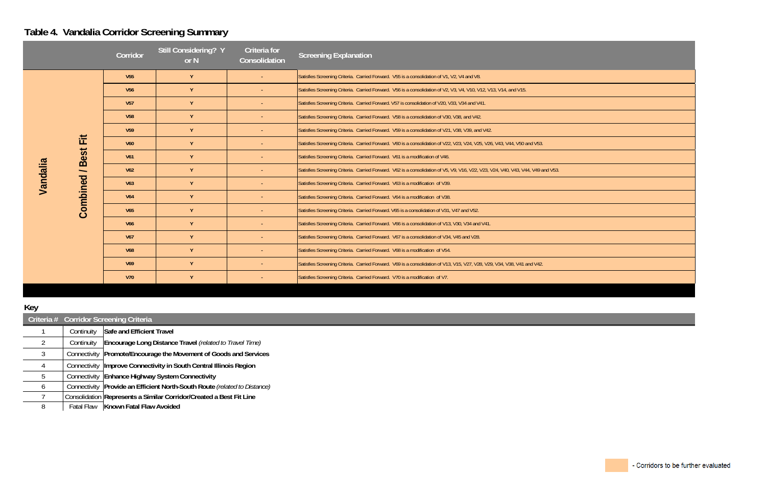## **Table 4. Vandalia Corridor Screening Summary**

|                          | Corridor        | Still Considering? Y<br>or N | Criteria for<br>Consolidation | <b>Screening Explanation</b>                                                                                                     |
|--------------------------|-----------------|------------------------------|-------------------------------|----------------------------------------------------------------------------------------------------------------------------------|
|                          | V <sub>55</sub> | Y                            | ÷.                            | Satisfies Screening Criteria. Carried Forward. V55 is a consolidation of V1, V2, V4 and V8.                                      |
|                          | V <sub>56</sub> | Y                            |                               | Satisfies Screening Criteria. Carried Forward. V56 is a consolidation of V2, V3, V4, V10, V12, V13, V14, and V15.                |
|                          | V <sub>57</sub> | Y                            |                               | Satisfies Screening Criteria. Carried Forward. V57 is consolidation of V20, V33, V34 and V41.                                    |
|                          | <b>V58</b>      | Y                            |                               | Satisfies Screening Criteria. Carried Forward. V58 is a consolidation of V30, V38, and V42.                                      |
|                          | V <sub>59</sub> | Y                            |                               | Satisfies Screening Criteria. Carried Forward. V59 is a consolidation of V21, V38, V39, and V42.                                 |
| $\equiv$<br>Щ            | <b>V60</b>      | Y                            | $\blacksquare$                | Satisfies Screening Criteria. Carried Forward. V60 is a consolidation of V22, V23, V24, V25, V26, V43, V44, V50 and V53.         |
| <b>Best</b>              | V <sub>61</sub> | Y                            | ÷.                            | Satisfies Screening Criteria. Carried Forward. V61 is a modification of V46.                                                     |
| $\overline{\phantom{0}}$ | V <sub>62</sub> | Y                            | $\blacksquare$                | Satisfies Screening Criteria. Carried Forward. V62 is a consolidation of V5, V9, V16, V22, V23, V24, V40, V43, V44, V49 and V53. |
| Vandalia                 | V63             | Y                            |                               | Satisfies Screening Criteria. Carried Forward. V63 is a modification of V39.                                                     |
|                          | <b>V64</b>      | Y                            |                               | Satisfies Screening Criteria. Carried Forward. V64 is a modification of V38.                                                     |
| Combined                 | <b>V65</b>      | Y                            |                               | Satisfies Screening Criteria. Carried Forward. V65 is a consolidation of V31, V47 and V52.                                       |
|                          | <b>V66</b>      | Y                            |                               | Satisfies Screening Criteria. Carried Forward. V66 is a consolidation of V13, V30, V34 and V41.                                  |
|                          | <b>V67</b>      | Y                            |                               | Satisfies Screening Criteria. Carried Forward. V67 is a consolidation of V34, V45 and V28.                                       |
|                          | <b>V68</b>      | Y                            |                               | Satisfies Screening Criteria. Carried Forward. V68 is a modification of V54.                                                     |
|                          | V <sub>69</sub> | Y                            |                               | Satisfies Screening Criteria. Carried Forward. V69 is a consolidation of V13, V15, V27, V28, V29, V34, V38, V41 and V42.         |
|                          | <b>V70</b>      | Y                            |                               | Satisfies Screening Criteria. Carried Forward. V70 is a modification of V7.                                                      |

#### **Key**

| $\sim$ |            |                                                                             |
|--------|------------|-----------------------------------------------------------------------------|
|        |            | Criteria # Corridor Screening Criteria                                      |
|        | Continuity | Safe and Efficient Travel                                                   |
|        | Continuity | Encourage Long Distance Travel (related to Travel Time)                     |
|        |            | Connectivity   Promote/Encourage the Movement of Goods and Services         |
|        |            | Connectivity   Improve Connectivity in South Central Illinois Region        |
|        |            | Connectivity Enhance Highway System Connectivity                            |
| O      |            | Connectivity   Provide an Efficient North-South Route (related to Distance) |
|        |            | Consolidation Represents a Similar Corridor/Created a Best Fit Line         |
|        |            | Fatal Flaw Known Fatal Flaw Avoided                                         |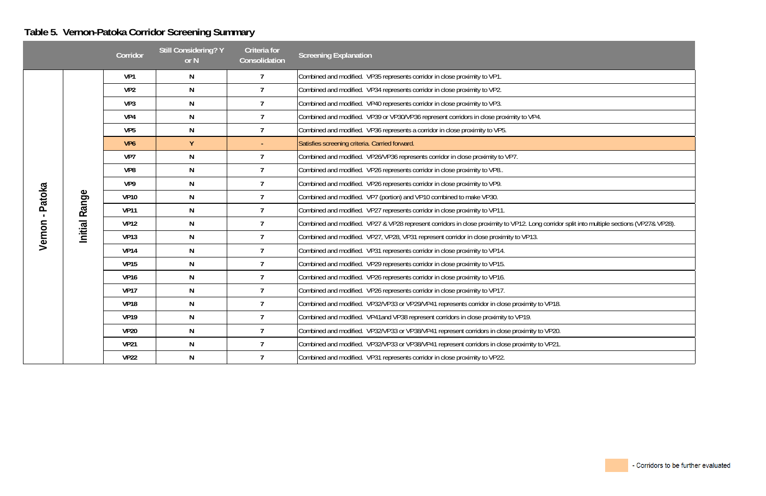# **Table 5. Vernon-Patoka Corridor Screening Summary**

| r split into multiple sections (VP27& VP28). |  |
|----------------------------------------------|--|
|                                              |  |
|                                              |  |

|              |         | Corridor        | <b>Still Considering? Y</b><br>or N | <b>Criteria</b> for<br>Consolidation | <b>Screening Explanation</b>                                                                                                                |
|--------------|---------|-----------------|-------------------------------------|--------------------------------------|---------------------------------------------------------------------------------------------------------------------------------------------|
|              |         | VP1             | N                                   | $\overline{7}$                       | Combined and modified. VP35 represents corridor in close proximity to VP1.                                                                  |
|              |         | VP <sub>2</sub> | $\mathsf{N}$                        | $\overline{7}$                       | Combined and modified. VP34 represents corridor in close proximity to VP2.                                                                  |
|              |         | VP3             | $\mathsf{N}$                        | $\overline{7}$                       | Combined and modified. VP40 represents corridor in close proximity to VP3.                                                                  |
|              |         | VP4             | N                                   | $\overline{7}$                       | Combined and modified. VP39 or VP30/VP36 represent corridors in close proximity to VP4.                                                     |
|              |         | VP <sub>5</sub> | N                                   | $\overline{7}$                       | Combined and modified. VP36 represents a corridor in close proximity to VP5.                                                                |
|              |         | VP <sub>6</sub> | Y                                   |                                      | Satisfies screening criteria. Carried forward.                                                                                              |
|              |         | VP7             | $\mathsf{N}$                        | $\overline{7}$                       | Combined and modified. VP26/VP36 represents corridor in close proximity to VP7.                                                             |
| Patoka       |         | VP8             | N                                   | $\overline{7}$                       | Combined and modified. VP26 represents corridor in close proximity to VP8                                                                   |
|              |         | VP9             | N                                   | $\overline{7}$                       | Combined and modified. VP26 represents corridor in close proximity to VP9.                                                                  |
|              | Range   | <b>VP10</b>     | $\mathsf{N}$                        | $\overline{7}$                       | Combined and modified. VP7 (portion) and VP10 combined to make VP30.                                                                        |
| $\mathbf{L}$ |         | <b>VP11</b>     | N                                   | $\overline{7}$                       | Combined and modified. VP27 represents corridor in close proximity to VP11.                                                                 |
|              |         | <b>VP12</b>     | $\mathsf{N}$                        | $\overline{7}$                       | Combined and modified. VP27 & VP28 represent corridors in close proximity to VP12. Long corridor split into multiple sections (VP27& VP28). |
| Vernon       | Initial | <b>VP13</b>     | N                                   | $\overline{7}$                       | Combined and modified. VP27, VP28, VP31 represent corridor in close proximity to VP13.                                                      |
|              |         | <b>VP14</b>     | N                                   | $\overline{7}$                       | Combined and modified. VP31 represents corridor in close proximity to VP14.                                                                 |
|              |         | <b>VP15</b>     | N                                   | $\overline{7}$                       | Combined and modified. VP29 represents corridor in close proximity to VP15.                                                                 |
|              |         | <b>VP16</b>     | N                                   | $\overline{7}$                       | Combined and modified. VP26 represents corridor in close proximity to VP16.                                                                 |
|              |         | <b>VP17</b>     | $\mathsf{N}$                        | $\overline{7}$                       | Combined and modified. VP26 represents corridor in close proximity to VP17.                                                                 |
|              |         | <b>VP18</b>     | N                                   | $\overline{7}$                       | Combined and modified. VP32/VP33 or VP29/VP41 represents corridor in close proximity to VP18.                                               |
|              |         | <b>VP19</b>     | N                                   | $\overline{7}$                       | Combined and modified. VP41and VP38 represent corridors in close proximity to VP19.                                                         |
|              |         | <b>VP20</b>     | N                                   | $\overline{7}$                       | Combined and modified. VP32/VP33 or VP38/VP41 represent corridors in close proximity to VP20.                                               |
|              |         | <b>VP21</b>     | $\mathsf{N}$                        | $\overline{7}$                       | Combined and modified. VP32/VP33 or VP38/VP41 represent corridors in close proximity to VP21.                                               |
|              |         | <b>VP22</b>     | N                                   | $\overline{7}$                       | Combined and modified. VP31 represents corridor in close proximity to VP22.                                                                 |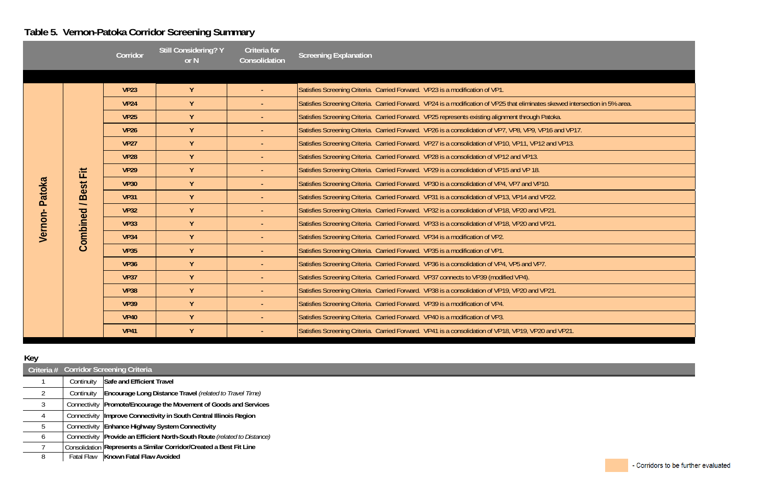# **Table 5. Vernon-Patoka Corridor Screening Summary**

|         |                                                     | Corridor    | <b>Still Considering? Y</b><br>or N | Criteria for<br>Consolidation | <b>Screening Explanation</b>                                                                                                  |
|---------|-----------------------------------------------------|-------------|-------------------------------------|-------------------------------|-------------------------------------------------------------------------------------------------------------------------------|
|         |                                                     |             |                                     |                               |                                                                                                                               |
|         |                                                     | <b>VP23</b> | Y                                   | $\omega$ .                    | Satisfies Screening Criteria. Carried Forward. VP23 is a modification of VP1.                                                 |
|         |                                                     | <b>VP24</b> | Y                                   | $\omega$                      | Satisfies Screening Criteria. Carried Forward. VP24 is a modification of VP25 that eliminates skewed intersection in 5% area. |
|         |                                                     | <b>VP25</b> | Y                                   | $\sim$                        | Satisfies Screening Criteria. Carried Forward. VP25 represents existing alignment through Patoka.                             |
|         |                                                     | <b>VP26</b> | Y                                   | $\sim$                        | Satisfies Screening Criteria. Carried Forward. VP26 is a consolidation of VP7, VP8, VP9, VP16 and VP17.                       |
|         |                                                     | <b>VP27</b> | Y                                   | $\omega$                      | Satisfies Screening Criteria. Carried Forward. VP27 is a consolidation of VP10, VP11, VP12 and VP13.                          |
|         |                                                     | <b>VP28</b> | Y                                   | $\sim$                        | Satisfies Screening Criteria. Carried Forward. VP28 is a consolidation of VP12 and VP13.                                      |
|         | Ë                                                   | <b>VP29</b> | Y                                   | $\sim$                        | Satisfies Screening Criteria. Carried Forward. VP29 is a consolidation of VP15 and VP 18.                                     |
| Patoka  | <b>Best</b><br>$\overline{\phantom{0}}$<br>Combined | <b>VP30</b> | Y                                   | $\sim$                        | Satisfies Screening Criteria. Carried Forward. VP30 is a consolidation of VP4, VP7 and VP10.                                  |
|         |                                                     | <b>VP31</b> | Y                                   | $\sim$                        | Satisfies Screening Criteria. Carried Forward. VP31 is a consolidation of VP13, VP14 and VP22.                                |
|         |                                                     | <b>VP32</b> | Y                                   | $\blacksquare$                | Satisfies Screening Criteria. Carried Forward. VP32 is a consolidation of VP18, VP20 and VP21.                                |
| Vernon- |                                                     | <b>VP33</b> | Y                                   | $\omega$                      | Satisfies Screening Criteria. Carried Forward. VP33 is a consolidation of VP18, VP20 and VP21.                                |
|         |                                                     | <b>VP34</b> | Y                                   | $\blacksquare$                | Satisfies Screening Criteria. Carried Forward. VP34 is a modification of VP2.                                                 |
|         |                                                     | <b>VP35</b> | Y                                   | $\sim$                        | Satisfies Screening Criteria. Carried Forward. VP35 is a modification of VP1.                                                 |
|         |                                                     | <b>VP36</b> | Y                                   | $\sim$                        | Satisfies Screening Criteria. Carried Forward. VP36 is a consolidation of VP4, VP5 and VP7.                                   |
|         |                                                     | <b>VP37</b> | Y                                   | $\blacksquare$                | Satisfies Screening Criteria. Carried Forward. VP37 connects to VP39 (modified VP4).                                          |
|         |                                                     | <b>VP38</b> | Y                                   | $\omega$                      | Satisfies Screening Criteria. Carried Forward. VP38 is a consolidation of VP19, VP20 and VP21.                                |
|         |                                                     | <b>VP39</b> | Y                                   | $\blacksquare$                | Satisfies Screening Criteria. Carried Forward. VP39 is a modification of VP4.                                                 |
|         |                                                     | <b>VP40</b> | Y                                   | $\blacksquare$                | Satisfies Screening Criteria. Carried Forward. VP40 is a modification of VP3.                                                 |
|         |                                                     | <b>VP41</b> | Y                                   | $\blacksquare$                | Satisfies Screening Criteria. Carried Forward. VP41 is a consolidation of VP18, VP19, VP20 and VP21.                          |

## **Key**

|   |            | Criteria # Corridor Screening Criteria                                      |  |  |  |  |
|---|------------|-----------------------------------------------------------------------------|--|--|--|--|
|   | Continuity | Safe and Efficient Travel                                                   |  |  |  |  |
|   | Continuity | Encourage Long Distance Travel (related to Travel Time)                     |  |  |  |  |
|   |            | Connectivity   Promote/Encourage the Movement of Goods and Services         |  |  |  |  |
|   |            | Connectivity   Improve Connectivity in South Central Illinois Region        |  |  |  |  |
|   |            | Connectivity Enhance Highway System Connectivity                            |  |  |  |  |
| O |            | Connectivity   Provide an Efficient North-South Route (related to Distance) |  |  |  |  |
|   |            | Consolidation Represents a Similar Corridor/Created a Best Fit Line         |  |  |  |  |
| 8 |            | Fatal Flaw   Known Fatal Flaw Avoided                                       |  |  |  |  |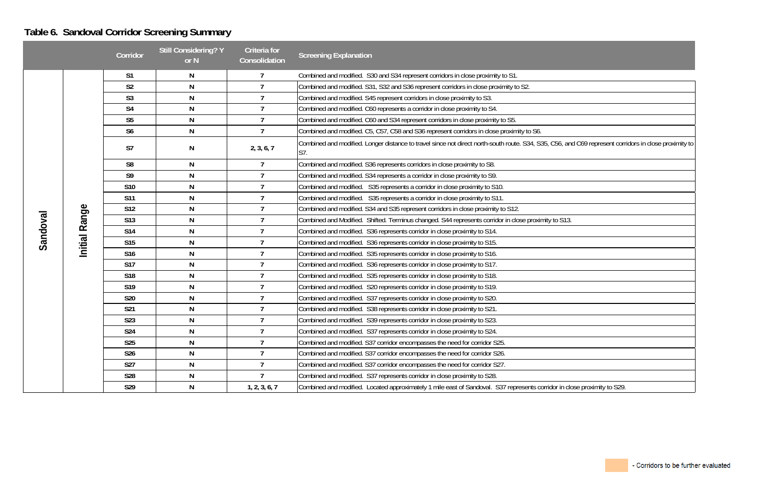## **Table 6. Sandoval Corridor Screening Summary**

| and C69 represent corridors in close proximity to |
|---------------------------------------------------|
|                                                   |
|                                                   |
|                                                   |
| 13.                                               |
|                                                   |
|                                                   |
|                                                   |
|                                                   |
|                                                   |
|                                                   |
|                                                   |
|                                                   |
|                                                   |
| close proximity to S29.                           |
|                                                   |

|          |                  | Corridor        | <b>Still Considering? Y</b><br>or N | Criteria for<br>Consolidation | <b>Screening Explanation</b>                                                                                                                                 |
|----------|------------------|-----------------|-------------------------------------|-------------------------------|--------------------------------------------------------------------------------------------------------------------------------------------------------------|
|          |                  | S <sub>1</sub>  | N                                   | $\overline{7}$                | Combined and modified. S30 and S34 represent corridors in close proximity to S1.                                                                             |
|          |                  | S <sub>2</sub>  | N                                   | $\overline{7}$                | Combined and modified. S31, S32 and S36 represent corridors in close proximity to S2.                                                                        |
|          |                  | S <sub>3</sub>  | N                                   | $\overline{7}$                | Combined and modified. S45 represent corridors in close proximity to S3.                                                                                     |
|          |                  | S <sub>4</sub>  | N                                   | $\overline{7}$                | Combined and modified. C60 represents a corridor in close proximity to S4.                                                                                   |
|          |                  | S <sub>5</sub>  | N                                   | $\overline{7}$                | Combined and modified. C60 and S34 represent corridors in close proximity to S5.                                                                             |
|          |                  | S <sub>6</sub>  | N                                   | $\overline{7}$                | Combined and modified. C5, C57, C58 and S36 represent corridors in close proximity to S6.                                                                    |
|          |                  | S7              | N                                   | 2, 3, 6, 7                    | Combined and modified. Longer distance to travel since not direct north-south route. S34, S35, C56, and C69 represent corridors in close proximity to<br>S7. |
|          |                  | S <sub>8</sub>  | N                                   | $\overline{7}$                | Combined and modified. S36 represents corridors in close proximity to S8.                                                                                    |
|          |                  | S <sub>9</sub>  | N                                   | $\overline{7}$                | Combined and modified. S34 represents a corridor in close proximity to S9.                                                                                   |
|          | Range<br>Initial | S10             | N                                   | 7                             | Combined and modified. S35 represents a corridor in close proximity to S10.                                                                                  |
|          |                  | <b>S11</b>      | N                                   | $\overline{7}$                | Combined and modified. S35 represents a corridor in close proximity to S11.                                                                                  |
|          |                  | <b>S12</b>      | N                                   | $\mathbf{7}$                  | Combined and modified. S34 and S35 represent corridors in close proximity to S12.                                                                            |
|          |                  | S <sub>13</sub> | N                                   | 7                             | Combined and Modified. Shifted. Terminus changed. S44 represents corridor in close proximity to S13.                                                         |
| Sandoval |                  | S14             | N                                   | $\overline{7}$                | Combined and modified. S36 represents corridor in close proximity to S14.                                                                                    |
|          |                  | S <sub>15</sub> | N                                   | $\overline{7}$                | Combined and modified. S36 represents corridor in close proximity to S15.                                                                                    |
|          |                  | S <sub>16</sub> | N                                   | $\overline{7}$                | Combined and modified. S35 represents corridor in close proximity to S16.                                                                                    |
|          |                  | <b>S17</b>      | N                                   | 7                             | Combined and modified. S36 represents corridor in close proximity to S17.                                                                                    |
|          |                  | S <sub>18</sub> | N                                   | 7                             | Combined and modified. S35 represents corridor in close proximity to S18.                                                                                    |
|          |                  | S <sub>19</sub> | N                                   | 7                             | Combined and modified. S20 represents corridor in close proximity to S19.                                                                                    |
|          |                  | S20             | ${\sf N}$                           | 7                             | Combined and modified. S37 represents corridor in close proximity to S20.                                                                                    |
|          |                  | S21             | N                                   | $\overline{7}$                | Combined and modified. S38 represents corridor in close proximity to S21.                                                                                    |
|          |                  | <b>S23</b>      | N                                   |                               | Combined and modified. S39 represents corridor in close proximity to S23.                                                                                    |
|          |                  | <b>S24</b>      | N                                   | 7                             | Combined and modified. S37 represents corridor in close proximity to S24.                                                                                    |
|          |                  | <b>S25</b>      | ${\sf N}$                           | $\overline{7}$                | Combined and modified. S37 corridor encompasses the need for corridor S25.                                                                                   |
|          |                  | S26             | N                                   | $\overline{7}$                | Combined and modified. S37 corridor encompasses the need for corridor S26.                                                                                   |
|          |                  | <b>S27</b>      | N                                   | $\overline{7}$                | Combined and modified. S37 corridor encompasses the need for corridor S27.                                                                                   |
|          |                  | S28             | N                                   | 7                             | Combined and modified. S37 represents corridor in close proximity to S28.                                                                                    |
|          |                  | S29             | N                                   | 1, 2, 3, 6, 7                 | Combined and modified. Located approximately 1 mile east of Sandoval. S37 represents corridor in close proximity to S29.                                     |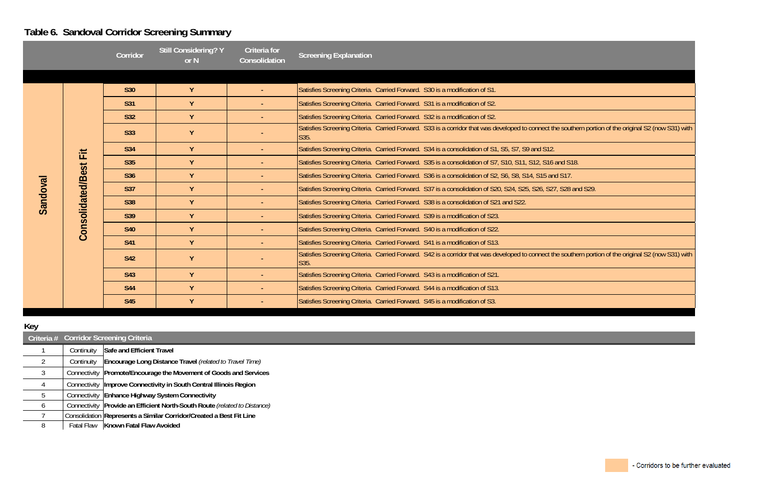# **Table 6. Sandoval Corridor Screening Summary**

|          |                          | Corridor        | <b>Still Considering? Y</b><br>or N | <b>Criteria for</b><br>Consolidation | <b>Screening Explanation</b>                                                                                                                                  |
|----------|--------------------------|-----------------|-------------------------------------|--------------------------------------|---------------------------------------------------------------------------------------------------------------------------------------------------------------|
|          |                          |                 |                                     |                                      |                                                                                                                                                               |
|          |                          | <b>S30</b>      | Y                                   |                                      | Satisfies Screening Criteria. Carried Forward. S30 is a modification of S1.                                                                                   |
|          |                          | S31             | Y                                   |                                      | Satisfies Screening Criteria. Carried Forward. S31 is a modification of S2.                                                                                   |
|          |                          | <b>S32</b>      | Y                                   |                                      | Satisfies Screening Criteria. Carried Forward. S32 is a modification of S2.                                                                                   |
|          |                          | S33             | Y                                   |                                      | Satisfies Screening Criteria. Carried Forward. S33 is a corridor that was developed to connect the southern portion of the original S2 (now S31) with<br>SS5. |
| Sandoval | 缸                        | <b>S34</b>      | Y                                   |                                      | Satisfies Screening Criteria. Carried Forward. S34 is a consolidation of S1, S5, S7, S9 and S12.                                                              |
|          | <b>Consolidated/Best</b> | <b>S35</b>      | Y                                   | $\sim$                               | Satisfies Screening Criteria. Carried Forward. S35 is a consolidation of S7, S10, S11, S12, S16 and S18.                                                      |
|          |                          | S36             | Y                                   |                                      | Satisfies Screening Criteria. Carried Forward. S36 is a consolidation of S2, S6, S8, S14, S15 and S17.                                                        |
|          |                          | <b>S37</b>      | Y                                   |                                      | Satisfies Screening Criteria. Carried Forward. S37 is a consolidation of S20, S24, S25, S26, S27, S28 and S29.                                                |
|          |                          | S <sub>38</sub> | Y                                   | $\sim$                               | Satisfies Screening Criteria. Carried Forward. S38 is a consolidation of S21 and S22.                                                                         |
|          |                          | <b>S39</b>      | $\mathbf{Y}$                        | $\sim$                               | Satisfies Screening Criteria. Carried Forward. S39 is a modification of S23.                                                                                  |
|          |                          | <b>S40</b>      | Y                                   | $\sim$                               | Satisfies Screening Criteria. Carried Forward. S40 is a modification of S22.                                                                                  |
|          |                          | S41             | Y                                   |                                      | Satisfies Screening Criteria. Carried Forward. S41 is a modification of S13.                                                                                  |
|          |                          | S42             | Y                                   |                                      | Satisfies Screening Criteria. Carried Forward. S42 is a corridor that was developed to connect the southern portion of the original S2 (now S31) with<br>SS5. |
|          |                          | <b>S43</b>      | Y                                   | $\sim$                               | Satisfies Screening Criteria. Carried Forward. S43 is a modification of S21.                                                                                  |
|          |                          | <b>S44</b>      | Y                                   | $\sim$                               | Satisfies Screening Criteria. Carried Forward. S44 is a modification of S13.                                                                                  |
|          |                          | S45             | Y                                   |                                      | Satisfies Screening Criteria. Carried Forward. S45 is a modification of S3.                                                                                   |

## **Key**

|   |              | Criteria # Corridor Screening Criteria                              |  |  |  |
|---|--------------|---------------------------------------------------------------------|--|--|--|
|   | Continuity   | Safe and Efficient Travel                                           |  |  |  |
| 2 | Continuity   | Encourage Long Distance Travel (related to Travel Time)             |  |  |  |
| 3 | Connectivity | Promote/Encourage the Movement of Goods and Services                |  |  |  |
| 4 | Connectivity | Improve Connectivity in South Central Illinois Region               |  |  |  |
| 5 | Connectivity | <b>Enhance Highway System Connectivity</b>                          |  |  |  |
| 6 | Connectivity | Provide an Efficient North-South Route (related to Distance)        |  |  |  |
|   |              | Consolidation Represents a Similar Corridor/Created a Best Fit Line |  |  |  |
| 8 |              | Fatal Flaw   Known Fatal Flaw Avoided                               |  |  |  |

| outhern portion of the original S2 (now S31) with |
|---------------------------------------------------|
|                                                   |
| <b>S18.</b>                                       |
| 17.                                               |
| 28 and S29.                                       |
|                                                   |
|                                                   |
|                                                   |
|                                                   |
| outhern portion of the original S2 (now S31) with |
|                                                   |
|                                                   |
|                                                   |
|                                                   |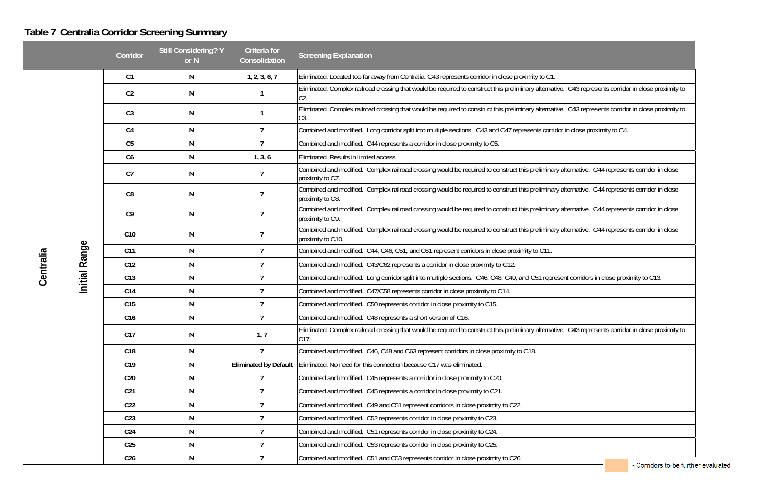### **Table 7 Centralia Corridor Screening Summary**

| C43 represents corridor in close proximity to |
|-----------------------------------------------|
|-----------------------------------------------|

- Corridors to be further evaluated

#### **Still Considering? Y or N Criteria for Consolidation Screening Explanation CorridorC1 N 1, 2, 3, 6, 7** Eliminated. Located too far away from Centralia. C43 represents corridor in close proximity to C1. Eliminated. Complex railroad crossing that would be required to construct this preliminary alternative.<br>C2. **C2 N 1**Eliminated. Complex railroad crossing that would be required to construct this preliminary alternative. C43 represents corridor in close proximity to C3. **C3 N 1** Combined and modified. Long corridor split into multiple sections. C43 and C47 represents corridor in close proximity to C4. **C4 N 7** Combined and modified. C44 represents a corridor in close proximity to C5. **C5 N 7C6 N 1, 3, 6** Eliminated. Results in limited access. Combined and modified. Complex railroad crossing would be required to construct this preliminary alternative. C44 represents corridor in close proximity to C7. **C7 N 7**Combined and modified. Complex railroad crossing would be required to construct this preliminary alternative. C44 represents corridor in close proximity to C8. **C8 N 7**Combined and modified. Complex railroad crossing would be required to construct this preliminary alternative. C44 represents corridor in close proximity to C9. **C9 N 7**Combined and modified. Complex railroad crossing would be required to construct this preliminary alternative. C44 represents corridor in close proximity to C10. **C10 N 7Initial Range**Initial Range Combined and modified. C44, C46, C51, and C61 represent corridors in close proximity to C11. **Centralia C11 N 7** Combined and modified. C43/C62 represents a corridor in close proximity to C12. **C12 N 7**7 Combined and modified. Long corridor split into multiple sections. C46, C48, C49, and C51 represent corridors in close proximity to C13. **C13 N 7** Combined and modified. C47/C58 represents corridor in close proximity to C14. **C14 N 7** Combined and modified. C50 represents corridor in close proximity to C15. **C15 N 7** Combined and modified. C48 represents a short version of C16. **C16 N 7C17 N 1, 7** Eliminated. Complex railroad crossing that would be required to construct this preliminary alternative. C43 represents corridor in close proximity to C17. Combined and modified. C46, C48 and C63 represent corridors in close proximity to C18. **C18 N 7C19 N Eliminated by Default** Eliminated. No need for this connection because C17 was eliminated. Combined and modified. C45 represents a corridor in close proximity to C20. **C20 N 7** Combined and modified. C45 represents a corridor in close proximity to C21. **C21 N 7** Combined and modified. C49 and C51 represent corridors in close proximity to C22. **C22 N 7** Combined and modified. C52 represents corridor in close proximity to C23. **C23 N 7** Combined and modified. C51 represents corridor in close proximity to C24. **C24 N 7** Combined and modified. C53 represents corridor in close proximity to C25. **C25 N 7** Combined and modified. C51 and C53 represents corridor in close proximity to C26. **C26 N 7**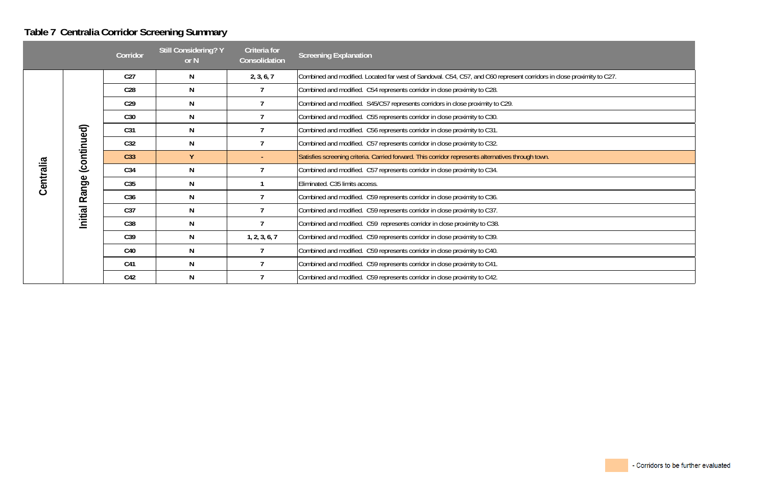# **Table 7 Centralia Corridor Screening Summary**

| se proximity to C27. |  |
|----------------------|--|
|                      |  |
|                      |  |
|                      |  |
|                      |  |
|                      |  |
|                      |  |
|                      |  |
|                      |  |
|                      |  |
|                      |  |
|                      |  |
|                      |  |
|                      |  |
|                      |  |
|                      |  |

|           |             | Corridor        | <b>Still Considering? Y</b><br>or $N$ | Criteria for<br>Consolidation | <b>Screening Explanation</b>                                                                                          |
|-----------|-------------|-----------------|---------------------------------------|-------------------------------|-----------------------------------------------------------------------------------------------------------------------|
|           |             | C <sub>27</sub> | N                                     | 2, 3, 6, 7                    | Combined and modified. Located far west of Sandoval. C54, C57, and C60 represent corridors in close proximity to C27. |
|           |             | C <sub>28</sub> | N                                     | $\overline{7}$                | Combined and modified. C54 represents corridor in close proximity to C28.                                             |
|           |             | C <sub>29</sub> | N                                     |                               | Combined and modified. S45/C57 represents corridors in close proximity to C29.                                        |
|           |             | C30             | N                                     |                               | Combined and modified. C55 represents corridor in close proximity to C30.                                             |
|           |             | C <sub>31</sub> | N                                     | $\overline{7}$                | Combined and modified. C56 represents corridor in close proximity to C31.                                             |
|           |             | C32             | N                                     | $\overline{7}$                | Combined and modified. C57 represents corridor in close proximity to C32.                                             |
|           | (continued) | C <sub>33</sub> | $\mathbf{Y}$                          |                               | Satisfies screening criteria. Carried forward. This corridor represents alternatives through town.                    |
|           |             | C34             | N                                     | $\overline{7}$                | Combined and modified. C57 represents corridor in close proximity to C34.                                             |
| Centralia | Range       | C35             | N                                     |                               | Eliminated. C35 limits access.                                                                                        |
|           |             | C <sub>36</sub> | N                                     | 7                             | Combined and modified. C59 represents corridor in close proximity to C36.                                             |
|           | Initial     | C <sub>37</sub> | N                                     | $\overline{7}$                | Combined and modified. C59 represents corridor in close proximity to C37.                                             |
|           |             | C38             | N                                     | $\overline{7}$                | Combined and modified. C59 represents corridor in close proximity to C38.                                             |
|           |             | C39             | N                                     | 1, 2, 3, 6, 7                 | Combined and modified. C59 represents corridor in close proximity to C39.                                             |
|           |             | C40             | N                                     | $\overline{7}$                | Combined and modified. C59 represents corridor in close proximity to C40.                                             |
|           |             | C41             | N                                     | $\overline{7}$                | Combined and modified. C59 represents corridor in close proximity to C41.                                             |
|           |             | C42             | N                                     | $\overline{7}$                | Combined and modified. C59 represents corridor in close proximity to C42.                                             |